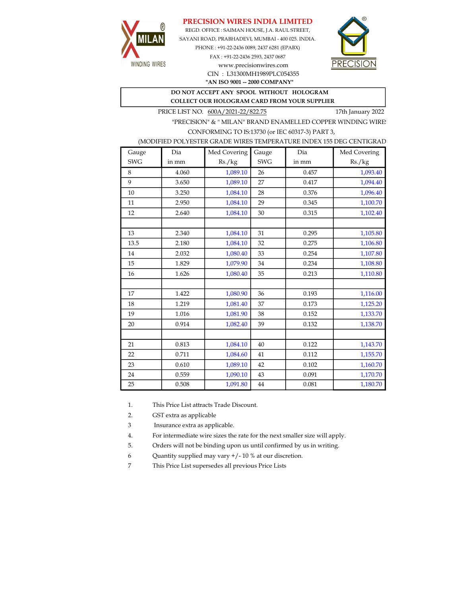## PRECISION WIRES INDIA LIMITED



REGD. OFFICE : SAIMAN HOUSE, J.A. RAUL STREET, SAYANI ROAD, PRABHADEVI, MUMBAI - 400 025. INDIA. PHONE : +91-22-2436 0089, 2437 6281 (EPABX)

> FAX : +91-22-2436 2593, 2437 0687 www.precisionwires.com CIN : L31300MH1989PLC054355



"AN ISO 9001 -- 2000 COMPANY"

## DO NOT ACCEPT ANY SPOOL WITHOUT HOLOGRAM COLLECT OUR HOLOGRAM CARD FROM YOUR SUPPLIER

PRICE LIST NO.  $\frac{600 \text{A}/2021 - 22/822.75}{600 \text{A}/2021}$  17th January 2022

"PRECISION" & " MILAN" BRAND ENAMELLED COPPER WINDING WIRE CONFORMING TO IS:13730 (or IEC 60317-3) PART 3,

| (MODIFIED POLYESTER GRADE WIRES TEMPERATURE INDEX 155 DEG CENTIGRAD |  |
|---------------------------------------------------------------------|--|
|                                                                     |  |

| Gauge      | Dia   | Med Covering | Gauge      | Dia   | Med Covering |
|------------|-------|--------------|------------|-------|--------------|
| <b>SWG</b> | in mm | Rs./kg       | <b>SWG</b> | in mm | Rs./kg       |
| 8          | 4.060 | 1,089.10     | 26         | 0.457 | 1,093.40     |
| 9          | 3.650 | 1,089.10     | 27         | 0.417 | 1,094.40     |
| 10         | 3.250 | 1,084.10     | 28         | 0.376 | 1,096.40     |
| 11         | 2.950 | 1,084.10     | 29         | 0.345 | 1,100.70     |
| 12         | 2.640 | 1,084.10     | 30         | 0.315 | 1,102.40     |
|            |       |              |            |       |              |
| 13         | 2.340 | 1,084.10     | 31         | 0.295 | 1,105.80     |
| 13.5       | 2.180 | 1,084.10     | 32         | 0.275 | 1,106.80     |
| 14         | 2.032 | 1,080.40     | 33         | 0.254 | 1,107.80     |
| 15         | 1.829 | 1,079.90     | 34         | 0.234 | 1,108.80     |
| 16         | 1.626 | 1,080.40     | 35         | 0.213 | 1,110.80     |
|            |       |              |            |       |              |
| 17         | 1.422 | 1,080.90     | 36         | 0.193 | 1,116.00     |
| 18         | 1.219 | 1,081.40     | 37         | 0.173 | 1,125.20     |
| 19         | 1.016 | 1,081.90     | 38         | 0.152 | 1,133.70     |
| 20         | 0.914 | 1,082.40     | 39         | 0.132 | 1,138.70     |
|            |       |              |            |       |              |
| 21         | 0.813 | 1,084.10     | 40         | 0.122 | 1,143.70     |
| 22         | 0.711 | 1,084.60     | 41         | 0.112 | 1,155.70     |
| 23         | 0.610 | 1,089.10     | 42         | 0.102 | 1,160.70     |
| 24         | 0.559 | 1,090.10     | 43         | 0.091 | 1,170.70     |
| 25         | 0.508 | 1,091.80     | 44         | 0.081 | 1,180.70     |

1. This Price List attracts Trade Discount.

2. GST extra as applicable

3 Insurance extra as applicable.

4. For intermediate wire sizes the rate for the next smaller size will apply.

5. Orders will not be binding upon us until confirmed by us in writing.

6 Quantity supplied may vary +/- 10 % at our discretion.

7 This Price List supersedes all previous Price Lists